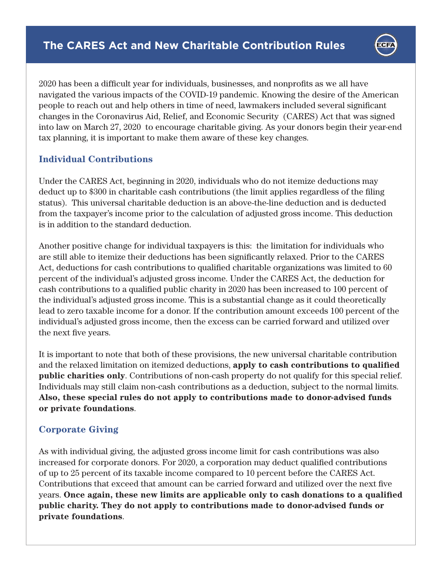

2020 has been a difficult year for individuals, businesses, and nonprofits as we all have navigated the various impacts of the COVID-19 pandemic. Knowing the desire of the American people to reach out and help others in time of need, lawmakers included several significant changes in the Coronavirus Aid, Relief, and Economic Security (CARES) Act that was signed into law on March 27, 2020 to encourage charitable giving. As your donors begin their year-end tax planning, it is important to make them aware of these key changes.

## **Individual Contributions**

Under the CARES Act, beginning in 2020, individuals who do not itemize deductions may deduct up to \$300 in charitable cash contributions (the limit applies regardless of the filing status). This universal charitable deduction is an above-the-line deduction and is deducted from the taxpayer's income prior to the calculation of adjusted gross income. This deduction is in addition to the standard deduction.

Another positive change for individual taxpayers is this: the limitation for individuals who are still able to itemize their deductions has been significantly relaxed. Prior to the CARES Act, deductions for cash contributions to qualified charitable organizations was limited to 60 percent of the individual's adjusted gross income. Under the CARES Act, the deduction for cash contributions to a qualified public charity in 2020 has been increased to 100 percent of the individual's adjusted gross income. This is a substantial change as it could theoretically lead to zero taxable income for a donor. If the contribution amount exceeds 100 percent of the individual's adjusted gross income, then the excess can be carried forward and utilized over the next five years.

It is important to note that both of these provisions, the new universal charitable contribution and the relaxed limitation on itemized deductions, apply to cash contributions to qualified **public charities only**. Contributions of non-cash property do not qualify for this special relief. Individuals may still claim non-cash contributions as a deduction, subject to the normal limits. **Also, these special rules do not apply to contributions made to donor-advised funds or private foundations**.

## **Corporate Giving**

As with individual giving, the adjusted gross income limit for cash contributions was also increased for corporate donors. For 2020, a corporation may deduct qualified contributions of up to 25 percent of its taxable income compared to 10 percent before the CARES Act. Contributions that exceed that amount can be carried forward and utilized over the next five years. **Once again, these new limits are applicable only to cash donations to a qualified public charity. They do not apply to contributions made to donor-advised funds or private foundations**.